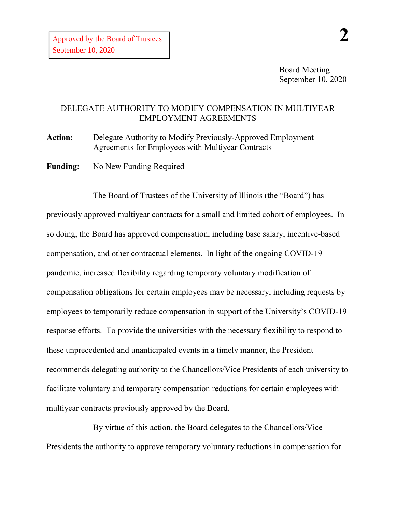Board Meeting September 10, 2020

## DELEGATE AUTHORITY TO MODIFY COMPENSATION IN MULTIYEAR EMPLOYMENT AGREEMENTS

Action: Delegate Authority to Modify Previously-Approved Employment Agreements for Employees with Multiyear Contracts

**Funding:** No New Funding Required

The Board of Trustees of the University of Illinois (the "Board") has previously approved multiyear contracts for a small and limited cohort of employees. In so doing, the Board has approved compensation, including base salary, incentive-based compensation, and other contractual elements. In light of the ongoing COVID-19 pandemic, increased flexibility regarding temporary voluntary modification of compensation obligations for certain employees may be necessary, including requests by employees to temporarily reduce compensation in support of the University's COVID-19 response efforts. To provide the universities with the necessary flexibility to respond to these unprecedented and unanticipated events in a timely manner, the President recommends delegating authority to the Chancellors/Vice Presidents of each university to facilitate voluntary and temporary compensation reductions for certain employees with multiyear contracts previously approved by the Board.

By virtue of this action, the Board delegates to the Chancellors/Vice Presidents the authority to approve temporary voluntary reductions in compensation for